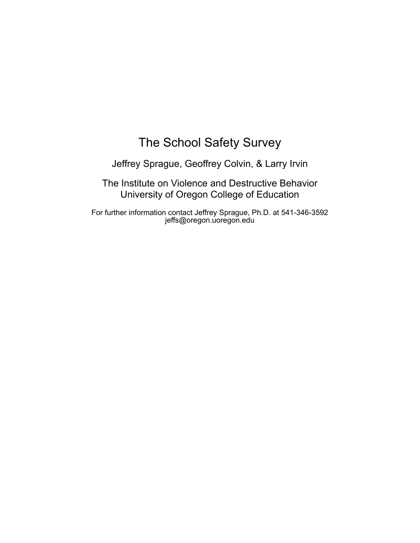## The School Safety Survey

Jeffrey Sprague, Geoffrey Colvin, & Larry Irvin

The Institute on Violence and Destructive Behavior University of Oregon College of Education

For further information contact Jeffrey Sprague, Ph.D. at 541-346-3592 jeffs@oregon.uoregon.edu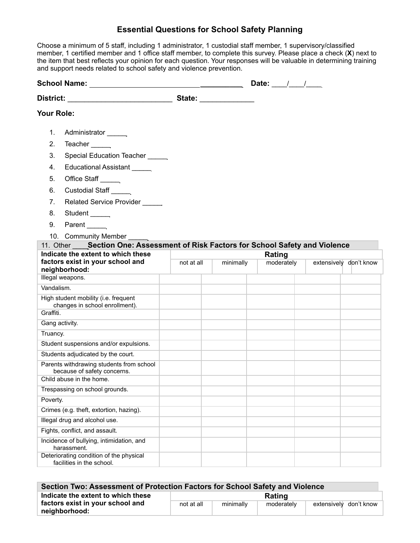## **Essential Questions for School Safety Planning**

Choose a minimum of 5 staff, including 1 administrator, 1 custodial staff member, 1 supervisory/classified member, 1 certified member and 1 office staff member, to complete this survey. Please place a check (**X**) next to the item that best reflects your opinion for each question. Your responses will be valuable in determining training and support needs related to school safety and violence prevention.

|                                                                         |                                                                                  |            | Date: $\frac{1}{\sqrt{1-\frac{1}{2}}}$ |            |                        |  |
|-------------------------------------------------------------------------|----------------------------------------------------------------------------------|------------|----------------------------------------|------------|------------------------|--|
| District: ____________________________                                  |                                                                                  |            | State: <u>_______________</u>          |            |                        |  |
| Your Role:                                                              |                                                                                  |            |                                        |            |                        |  |
| 1.                                                                      | Administrator                                                                    |            |                                        |            |                        |  |
| 2.                                                                      | Teacher                                                                          |            |                                        |            |                        |  |
| 3.                                                                      | Special Education Teacher                                                        |            |                                        |            |                        |  |
| 4.                                                                      | Educational Assistant                                                            |            |                                        |            |                        |  |
| 5.                                                                      | Office Staff ______                                                              |            |                                        |            |                        |  |
| 6.                                                                      | Custodial Staff                                                                  |            |                                        |            |                        |  |
| $7_{\scriptscriptstyle{\sim}}$                                          | Related Service Provider                                                         |            |                                        |            |                        |  |
| 8.                                                                      | Student ______                                                                   |            |                                        |            |                        |  |
| 9.                                                                      | Parent                                                                           |            |                                        |            |                        |  |
|                                                                         | 10. Community Member                                                             |            |                                        |            |                        |  |
|                                                                         | 11. Other Section One: Assessment of Risk Factors for School Safety and Violence |            |                                        |            |                        |  |
|                                                                         | Indicate the extent to which these                                               |            | Rating                                 |            |                        |  |
| factors exist in your school and<br>neighborhood:                       |                                                                                  | not at all | minimally                              | moderately | extensively don't know |  |
|                                                                         | Illegal weapons.                                                                 |            |                                        |            |                        |  |
| Vandalism.                                                              |                                                                                  |            |                                        |            |                        |  |
| High student mobility (i.e. frequent<br>changes in school enrollment).  |                                                                                  |            |                                        |            |                        |  |
| Graffiti.                                                               |                                                                                  |            |                                        |            |                        |  |
| Gang activity.                                                          |                                                                                  |            |                                        |            |                        |  |
| Truancy.                                                                |                                                                                  |            |                                        |            |                        |  |
|                                                                         | Student suspensions and/or expulsions.                                           |            |                                        |            |                        |  |
|                                                                         | Students adjudicated by the court.                                               |            |                                        |            |                        |  |
| Parents withdrawing students from school<br>because of safety concerns. |                                                                                  |            |                                        |            |                        |  |
| Child abuse in the home.                                                |                                                                                  |            |                                        |            |                        |  |
| Trespassing on school grounds.                                          |                                                                                  |            |                                        |            |                        |  |
| Poverty.                                                                |                                                                                  |            |                                        |            |                        |  |
|                                                                         | Crimes (e.g. theft, extortion, hazing).                                          |            |                                        |            |                        |  |
|                                                                         | Illegal drug and alcohol use.                                                    |            |                                        |            |                        |  |
|                                                                         | Fights, conflict, and assault.                                                   |            |                                        |            |                        |  |
|                                                                         | Incidence of bullying, intimidation, and<br>harassment.                          |            |                                        |            |                        |  |
|                                                                         | Deteriorating condition of the physical<br>facilities in the school.             |            |                                        |            |                        |  |

| Section Two: Assessment of Protection Factors for School Safety and Violence |            |           |            |                        |  |  |  |  |  |
|------------------------------------------------------------------------------|------------|-----------|------------|------------------------|--|--|--|--|--|
| Indicate the extent to which these                                           | Rating     |           |            |                        |  |  |  |  |  |
| factors exist in your school and<br>neighborhood:                            | not at all | minimally | moderately | extensively don't know |  |  |  |  |  |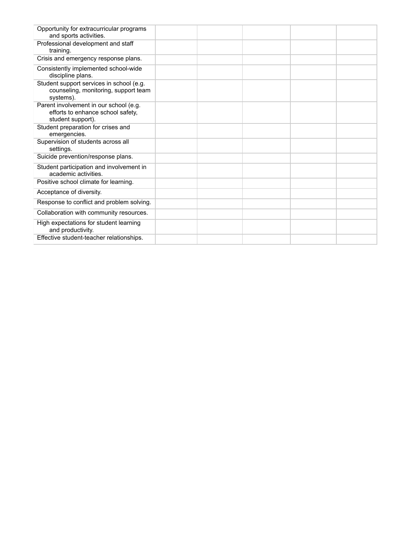| Opportunity for extracurricular programs<br>and sports activities.                               |  |  |  |
|--------------------------------------------------------------------------------------------------|--|--|--|
| Professional development and staff<br>training.                                                  |  |  |  |
| Crisis and emergency response plans.                                                             |  |  |  |
| Consistently implemented school-wide<br>discipline plans.                                        |  |  |  |
| Student support services in school (e.g.<br>counseling, monitoring, support team<br>systems).    |  |  |  |
| Parent involvement in our school (e.g.<br>efforts to enhance school safety,<br>student support). |  |  |  |
| Student preparation for crises and<br>emergencies.                                               |  |  |  |
| Supervision of students across all<br>settings.                                                  |  |  |  |
| Suicide prevention/response plans.                                                               |  |  |  |
| Student participation and involvement in<br>academic activities.                                 |  |  |  |
| Positive school climate for learning.                                                            |  |  |  |
| Acceptance of diversity.                                                                         |  |  |  |
| Response to conflict and problem solving.                                                        |  |  |  |
| Collaboration with community resources.                                                          |  |  |  |
| High expectations for student learning<br>and productivity.                                      |  |  |  |
| Effective student-teacher relationships.                                                         |  |  |  |